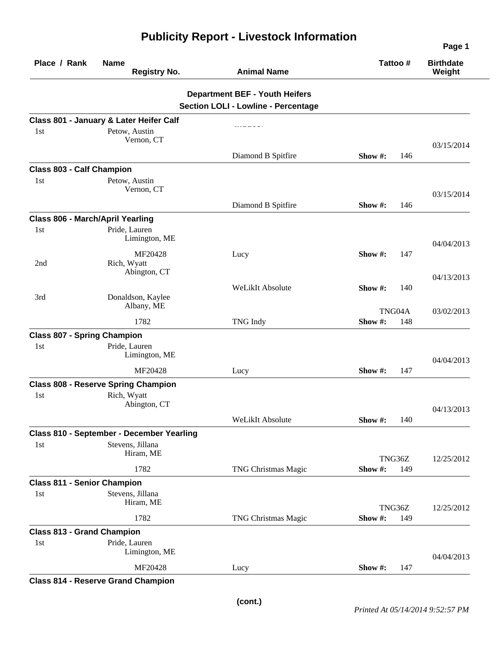| Place / Rank                              | <b>Name</b><br><b>Registry No.</b>         | <b>Animal Name</b>                                                                  | Tattoo #                | <b>Birthdate</b><br>Weight |
|-------------------------------------------|--------------------------------------------|-------------------------------------------------------------------------------------|-------------------------|----------------------------|
|                                           |                                            | <b>Department BEF - Youth Heifers</b><br><b>Section LOLI - Lowline - Percentage</b> |                         |                            |
|                                           | Class 801 - January & Later Heifer Calf    |                                                                                     |                         |                            |
| 1st                                       | Petow, Austin<br>Vernon, CT                |                                                                                     |                         | 03/15/2014                 |
|                                           |                                            | Diamond B Spitfire                                                                  | 146<br>Show $#$ :       |                            |
| <b>Class 803 - Calf Champion</b><br>1st   | Petow, Austin<br>Vernon, CT                |                                                                                     |                         | 03/15/2014                 |
|                                           |                                            | Diamond B Spitfire                                                                  | 146<br>Show $#$ :       |                            |
|                                           | <b>Class 806 - March/April Yearling</b>    |                                                                                     |                         |                            |
| 1st                                       | Pride, Lauren<br>Limington, ME             |                                                                                     |                         | 04/04/2013                 |
| 2nd                                       | MF20428<br>Rich, Wyatt<br>Abington, CT     | Lucy                                                                                | Show #:<br>147          |                            |
|                                           |                                            |                                                                                     |                         | 04/13/2013                 |
| 3rd                                       | Donaldson, Kaylee<br>Albany, ME            | WeLikIt Absolute                                                                    | Show #:<br>140          |                            |
|                                           | 1782                                       | TNG Indy                                                                            | TNG04A<br>Show#:<br>148 | 03/02/2013                 |
| <b>Class 807 - Spring Champion</b>        |                                            |                                                                                     |                         |                            |
| 1st                                       | Pride, Lauren<br>Limington, ME             |                                                                                     |                         | 04/04/2013                 |
|                                           | MF20428                                    | Lucy                                                                                | 147<br>Show $#$ :       |                            |
|                                           | <b>Class 808 - Reserve Spring Champion</b> |                                                                                     |                         |                            |
| 1 <sub>st</sub>                           | Rich, Wyatt<br>Abington, CT                |                                                                                     |                         | 04/13/2013                 |
|                                           |                                            | WeLikIt Absolute                                                                    | Show $\#$ :<br>140      |                            |
|                                           | Class 810 - September - December Yearling  |                                                                                     |                         |                            |
| 1st                                       | Stevens, Jillana<br>Hiram, ME              |                                                                                     | TNG36Z                  | 12/25/2012                 |
|                                           | 1782                                       | TNG Christmas Magic                                                                 | Show #:<br>149          |                            |
| <b>Class 811 - Senior Champion</b><br>1st | Stevens, Jillana<br>Hiram, ME              |                                                                                     |                         |                            |
|                                           |                                            |                                                                                     | TNG36Z                  | 12/25/2012                 |
|                                           | 1782                                       | TNG Christmas Magic                                                                 | Show#:<br>149           |                            |
| <b>Class 813 - Grand Champion</b><br>1st  | Pride, Lauren                              |                                                                                     |                         |                            |
|                                           | Limington, ME                              |                                                                                     |                         | 04/04/2013                 |
|                                           | MF20428                                    | Lucy                                                                                | Show #:<br>147          |                            |

**Publicity Report - Livestock Information**

## **Class 814 - Reserve Grand Champion**

**Page 1**